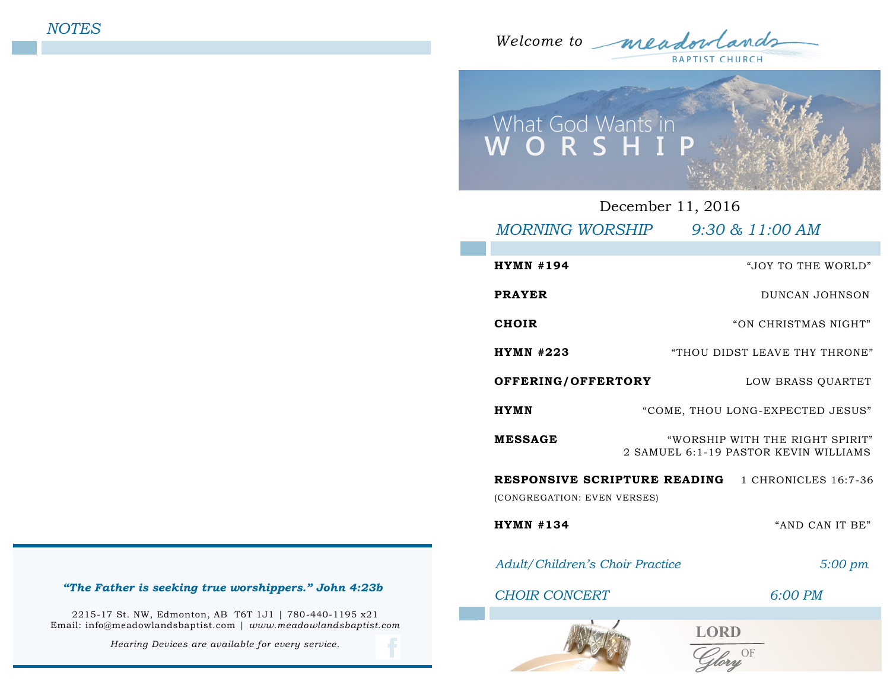*Welcome to*  **BAPTIST CHURCH** 



| December 11, 2016                                        |                                                                          |  |  |  |
|----------------------------------------------------------|--------------------------------------------------------------------------|--|--|--|
|                                                          | MORNING WORSHIP 9:30 & 11:00 AM                                          |  |  |  |
| <b>HYMN #194</b>                                         | "JOY TO THE WORLD"                                                       |  |  |  |
| <b>PRAYER</b>                                            | DUNCAN JOHNSON                                                           |  |  |  |
| <b>CHOIR</b>                                             | "ON CHRISTMAS NIGHT"                                                     |  |  |  |
| <b>HYMN #223</b>                                         | "THOU DIDST LEAVE THY THRONE"                                            |  |  |  |
| OFFERING/OFFERTORY                                       | LOW BRASS QUARTET                                                        |  |  |  |
| <b>HYMN</b>                                              | "COME, THOU LONG-EXPECTED JESUS"                                         |  |  |  |
| <b>MESSAGE</b>                                           | "WORSHIP WITH THE RIGHT SPIRIT"<br>2 SAMUEL 6:1-19 PASTOR KEVIN WILLIAMS |  |  |  |
| <b>RESPONSIVE SCRIPTURE READING</b> 1 CHRONICLES 16:7-36 |                                                                          |  |  |  |
| (CONGREGATION: EVEN VERSES)                              |                                                                          |  |  |  |
| $HYMN$ #134                                              | "AND CAN IT BE"                                                          |  |  |  |
| <b>Adult/Children's Choir Practice</b>                   | $5:00 \text{ pm}$                                                        |  |  |  |
| <b>CHOIR CONCERT</b>                                     | $6:00$ PM                                                                |  |  |  |
|                                                          | <b>LORD</b>                                                              |  |  |  |

### *"The Father is seeking true worshippers." John 4:23b*

2215-17 St. NW, Edmonton, AB T6T 1J1 | 780-440-1195 x21 Email: info@meadowlandsbaptist.com | *www.meadowlandsbaptist.com*

*Hearing Devices are available for every service.*